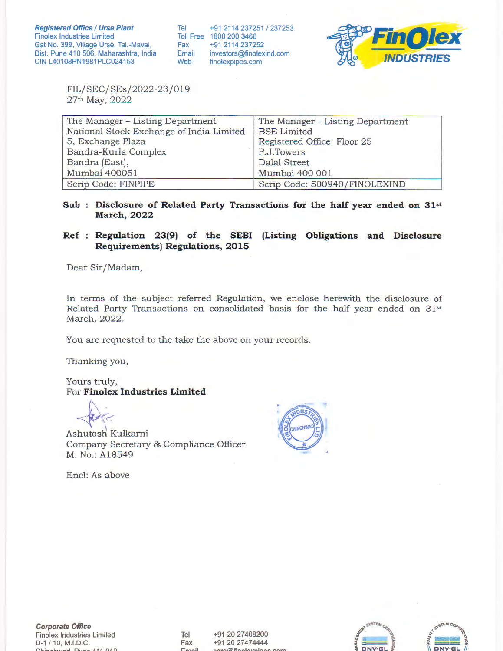Tel Toll Free 1800 200 3466 Fax Email Web +912114237251 1237253 +91 2114 237252 investors@finolexind.com finolexpipes.com



FIL/SEC/SEs/2022-23 /019 27th May, 2022

| The Manager – Listing Department         | The Manager – Listing Department |  |  |  |  |  |  |  |  |
|------------------------------------------|----------------------------------|--|--|--|--|--|--|--|--|
| National Stock Exchange of India Limited | <b>BSE</b> Limited               |  |  |  |  |  |  |  |  |
| 5, Exchange Plaza                        | Registered Office: Floor 25      |  |  |  |  |  |  |  |  |
| Bandra-Kurla Complex                     | P.J.Towers                       |  |  |  |  |  |  |  |  |
| Bandra (East),                           | Dalal Street                     |  |  |  |  |  |  |  |  |
| Mumbai 400051                            | Mumbai 400 001                   |  |  |  |  |  |  |  |  |
| Scrip Code: FINPIPE                      | Scrip Code: 500940/FINOLEXIND    |  |  |  |  |  |  |  |  |

Sub : Disclosure of Related Party Transactions for the half year ended on 31st **March, 2022** 

## **Ref Regulation 23(9) of the SEBI (Listing Obligations and Disclosure Requirements) Regulations, 2015**

Dear Sir/Madam,

In terms of the subject referred Regulation, we enclose herewith the disclosure of Related Party Transactions on consolidated basis for the half year ended on 31st March, 2022.

You are requested to the take the above on your records.

Thanking you,

Yours truly, For **Finolex Industries Limited** 

~

Ashutosh Kulkarni Company Secretary & Compliance Officer M. No.: Al8549

Encl: As above



Tel Fax  $E_{\text{max}}$ +91 20 27408200 +91 20 27474444 **f'".lrorrt\finnlavninaC" f'nrn**